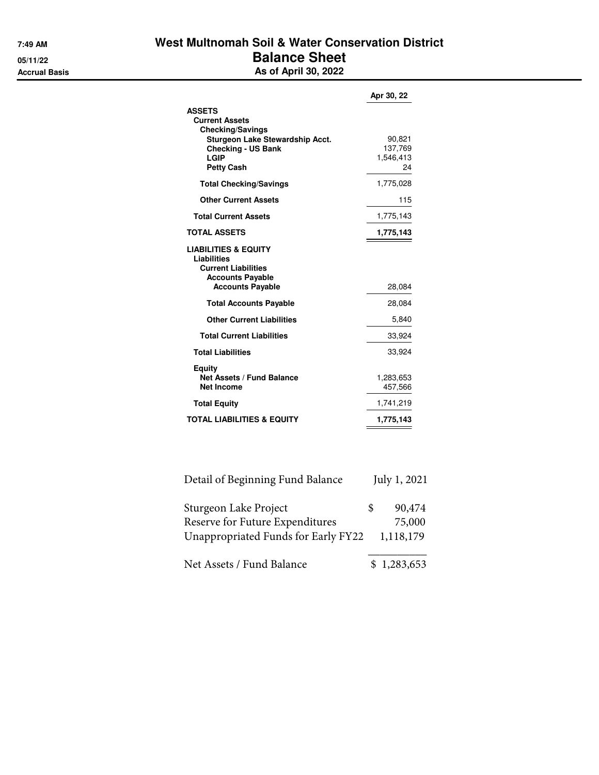## **7:49 AM West Multnomah Soil & Water Conservation District 05/11/22 Balance Sheet Accrual Basis As of April 30, 2022**

|                                                                                                                                                                       | Apr 30, 22                           |
|-----------------------------------------------------------------------------------------------------------------------------------------------------------------------|--------------------------------------|
| <b>ASSETS</b><br><b>Current Assets</b><br><b>Checking/Savings</b><br>Sturgeon Lake Stewardship Acct.<br><b>Checking - US Bank</b><br><b>LGIP</b><br><b>Petty Cash</b> | 90,821<br>137,769<br>1,546,413<br>24 |
| <b>Total Checking/Savings</b>                                                                                                                                         | 1,775,028                            |
| <b>Other Current Assets</b>                                                                                                                                           | 115                                  |
| <b>Total Current Assets</b>                                                                                                                                           | 1,775,143                            |
| <b>TOTAL ASSETS</b>                                                                                                                                                   | 1,775,143                            |
| <b>LIABILITIES &amp; EQUITY</b><br>Liabilities<br><b>Current Liabilities</b><br><b>Accounts Payable</b><br><b>Accounts Payable</b>                                    | 28,084                               |
| <b>Total Accounts Payable</b>                                                                                                                                         | 28,084                               |
| <b>Other Current Liabilities</b>                                                                                                                                      | 5,840                                |
| <b>Total Current Liabilities</b>                                                                                                                                      | 33,924                               |
| <b>Total Liabilities</b>                                                                                                                                              | 33,924                               |
| Equity<br><b>Net Assets / Fund Balance</b><br><b>Net Income</b>                                                                                                       | 1,283,653<br>457,566                 |
| <b>Total Equity</b>                                                                                                                                                   | 1,741,219                            |
| <b>TOTAL LIABILITIES &amp; EQUITY</b>                                                                                                                                 | 1,775,143                            |

| Detail of Beginning Fund Balance    |     | July 1, 2021 |
|-------------------------------------|-----|--------------|
| Sturgeon Lake Project               | \$. | 90,474       |
| Reserve for Future Expenditures     |     | 75,000       |
| Unappropriated Funds for Early FY22 |     | 1,118,179    |
| Net Assets / Fund Balance           |     | \$1,283,653  |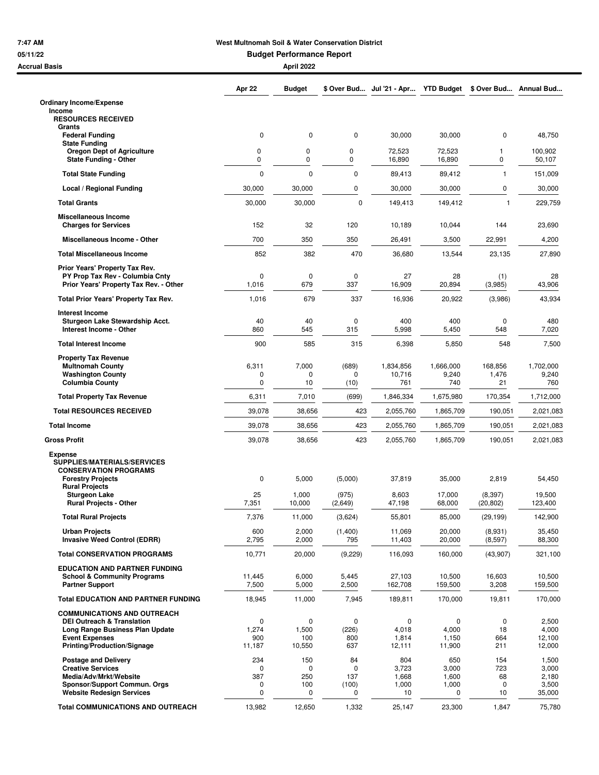## **7:47 AM West Multnomah Soil & Water Conservation District**

**05/11/22 Budget Performance Report**

| <b>Accrual Basis</b>                                                          |                 | April 2022      |                   |                                      |                    |                       |                    |
|-------------------------------------------------------------------------------|-----------------|-----------------|-------------------|--------------------------------------|--------------------|-----------------------|--------------------|
|                                                                               | Apr 22          | <b>Budget</b>   |                   | \$ Over Bud Jul '21 - Apr YTD Budget |                    | \$ Over Bud           | Annual Bud         |
| <b>Ordinary Income/Expense</b>                                                |                 |                 |                   |                                      |                    |                       |                    |
| Income<br><b>RESOURCES RECEIVED</b><br>Grants                                 |                 |                 |                   |                                      |                    |                       |                    |
| <b>Federal Funding</b>                                                        | $\mathbf 0$     | $\mathbf 0$     | $\mathbf 0$       | 30,000                               | 30,000             | $\pmb{0}$             | 48,750             |
| <b>State Funding</b><br><b>Oregon Dept of Agriculture</b>                     | 0               | 0               | 0                 | 72,523                               | 72,523             | 1                     | 100,902            |
| <b>State Funding - Other</b>                                                  | 0               | $\mathbf 0$     | 0                 | 16,890                               | 16,890             | 0                     | 50,107             |
| <b>Total State Funding</b>                                                    | $\mathbf 0$     | $\mathbf 0$     | 0                 | 89,413                               | 89,412             | $\mathbf{1}$          | 151,009            |
| Local / Regional Funding                                                      | 30,000          | 30,000          | 0                 | 30,000                               | 30,000             | 0                     | 30,000             |
| <b>Total Grants</b>                                                           | 30,000          | 30,000          | $\mathbf 0$       | 149,413                              | 149,412            | $\mathbf{1}$          | 229,759            |
| Miscellaneous Income<br><b>Charges for Services</b>                           | 152             | 32              | 120               | 10,189                               | 10,044             | 144                   | 23,690             |
| Miscellaneous Income - Other                                                  | 700             | 350             | 350               | 26,491                               | 3,500              | 22,991                | 4,200              |
| <b>Total Miscellaneous Income</b>                                             | 852             | 382             | 470               | 36,680                               | 13,544             | 23,135                | 27,890             |
| Prior Years' Property Tax Rev.                                                |                 |                 |                   |                                      |                    |                       |                    |
| PY Prop Tax Rev - Columbia Cnty<br>Prior Years' Property Tax Rev. - Other     | 0<br>1,016      | 0<br>679        | 0<br>337          | 27<br>16,909                         | 28<br>20,894       | (1)<br>(3,985)        | 28<br>43,906       |
| Total Prior Years' Property Tax Rev.                                          | 1,016           | 679             | 337               | 16,936                               | 20,922             | (3,986)               | 43,934             |
| <b>Interest Income</b>                                                        |                 |                 |                   |                                      |                    |                       |                    |
| Sturgeon Lake Stewardship Acct.<br>Interest Income - Other                    | 40<br>860       | 40<br>545       | 0<br>315          | 400<br>5,998                         | 400<br>5,450       | 0<br>548              | 480<br>7,020       |
| <b>Total Interest Income</b>                                                  | 900             | 585             | 315               | 6,398                                | 5,850              | 548                   | 7,500              |
| <b>Property Tax Revenue</b>                                                   |                 |                 |                   |                                      |                    |                       |                    |
| <b>Multnomah County</b><br><b>Washington County</b>                           | 6,311<br>0      | 7,000<br>0      | (689)<br>$\Omega$ | 1,834,856<br>10,716                  | 1,666,000<br>9,240 | 168,856<br>1,476      | 1,702,000<br>9,240 |
| <b>Columbia County</b>                                                        | 0               | 10              | (10)              | 761                                  | 740                | 21                    | 760                |
| <b>Total Property Tax Revenue</b>                                             | 6,311           | 7,010           | (699)             | 1,846,334                            | 1,675,980          | 170,354               | 1,712,000          |
| <b>Total RESOURCES RECEIVED</b>                                               | 39,078          | 38,656          | 423               | 2,055,760                            | 1,865,709          | 190,051               | 2,021,083          |
| <b>Total Income</b>                                                           | 39,078          | 38,656          | 423               | 2,055,760                            | 1,865,709          | 190,051               | 2,021,083          |
| <b>Gross Profit</b>                                                           | 39,078          | 38,656          | 423               | 2,055,760                            | 1,865,709          | 190,051               | 2,021,083          |
| <b>Expense</b><br>SUPPLIES/MATERIALS/SERVICES<br><b>CONSERVATION PROGRAMS</b> |                 |                 |                   |                                      |                    |                       |                    |
| <b>Forestry Projects</b><br><b>Rural Projects</b>                             | 0               | 5,000           | (5,000)           | 37,819                               | 35,000             | 2,819                 | 54,450             |
| <b>Sturgeon Lake</b><br><b>Rural Projects - Other</b>                         | 25<br>7,351     | 1,000<br>10,000 | (975)<br>(2,649)  | 8,603<br>47,198                      | 17,000<br>68,000   | (8, 397)<br>(20, 802) | 19,500<br>123,400  |
| <b>Total Rural Projects</b>                                                   | 7,376           | 11,000          | (3,624)           | 55,801                               | 85,000             | (29, 199)             | 142,900            |
| <b>Urban Projects</b><br><b>Invasive Weed Control (EDRR)</b>                  | 600<br>2,795    | 2,000<br>2,000  | (1,400)<br>795    | 11,069<br>11,403                     | 20,000<br>20,000   | (8,931)<br>(8,597)    | 35,450<br>88,300   |
| <b>Total CONSERVATION PROGRAMS</b>                                            | 10,771          | 20,000          | (9,229)           | 116,093                              | 160,000            | (43,907)              | 321,100            |
| <b>EDUCATION AND PARTNER FUNDING</b>                                          |                 |                 |                   |                                      |                    |                       |                    |
| <b>School &amp; Community Programs</b><br><b>Partner Support</b>              | 11,445<br>7,500 | 6,000<br>5,000  | 5,445<br>2,500    | 27,103<br>162,708                    | 10,500<br>159,500  | 16,603<br>3,208       | 10,500<br>159,500  |
| <b>Total EDUCATION AND PARTNER FUNDING</b>                                    | 18,945          | 11,000          | 7,945             | 189,811                              | 170,000            | 19,811                | 170,000            |
| <b>COMMUNICATIONS AND OUTREACH</b>                                            |                 |                 |                   |                                      |                    |                       |                    |
| <b>DEI Outreach &amp; Translation</b><br>Long Range Business Plan Update      | 0<br>1,274      | 0<br>1,500      | 0<br>(226)        | 0<br>4,018                           | 0<br>4,000         | 0<br>18               | 2,500<br>4,000     |
| <b>Event Expenses</b><br>Printing/Production/Signage                          | 900<br>11,187   | 100<br>10,550   | 800<br>637        | 1,814<br>12,111                      | 1,150<br>11,900    | 664<br>211            | 12,100<br>12,000   |
| <b>Postage and Delivery</b>                                                   | 234             | 150             | 84                | 804                                  | 650                | 154                   | 1,500              |
| <b>Creative Services</b><br>Media/Adv/Mrkt/Website                            | 0<br>387        | 0<br>250        | O<br>137          | 3,723<br>1,668                       | 3,000<br>1,600     | 723<br>68             | 3,000<br>2,180     |
| Sponsor/Support Commun. Orgs                                                  | 0               | 100             | (100)             | 1,000                                | 1,000              | 0                     | 3,500              |
| <b>Website Redesign Services</b>                                              | 0               | 0               | 0                 | 10                                   | 0                  | 10                    | 35,000             |
| <b>Total COMMUNICATIONS AND OUTREACH</b>                                      | 13,982          | 12,650          | 1,332             | 25,147                               | 23,300             | 1,847                 | 75,780             |